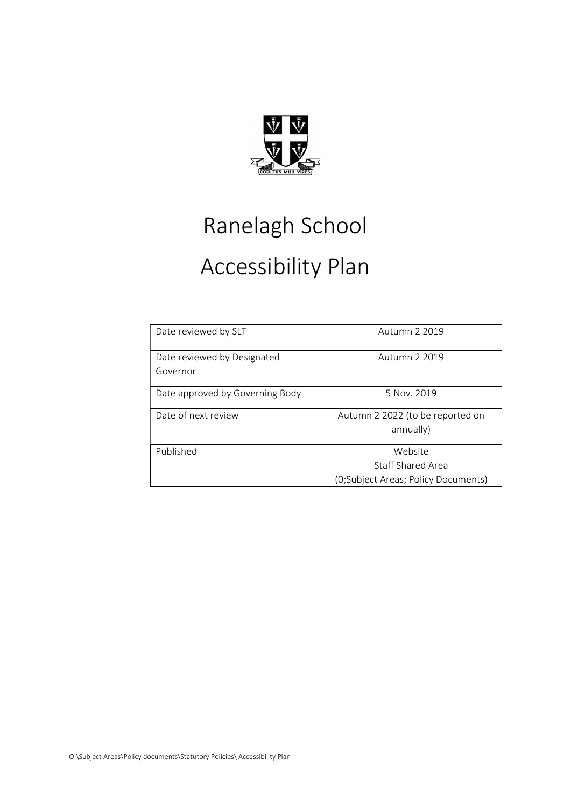

## Ranelagh School Accessibility Plan

| Date reviewed by SLT                    | Autumn 2 2019                                                       |
|-----------------------------------------|---------------------------------------------------------------------|
| Date reviewed by Designated<br>Governor | Autumn 2 2019                                                       |
| Date approved by Governing Body         | 5 Nov. 2019                                                         |
| Date of next review                     | Autumn 2 2022 (to be reported on<br>annually)                       |
| Published                               | Website<br>Staff Shared Area<br>(0;Subject Areas; Policy Documents) |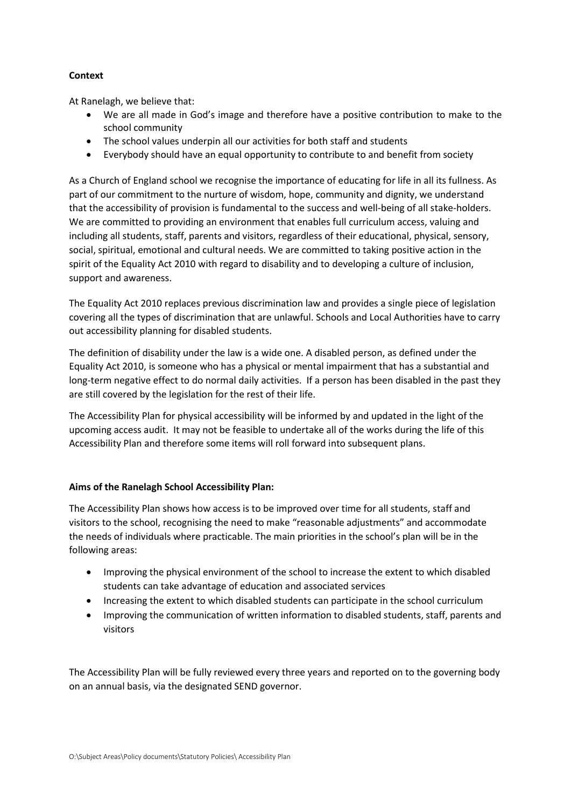## **Context**

At Ranelagh, we believe that:

- We are all made in God's image and therefore have a positive contribution to make to the school community
- The school values underpin all our activities for both staff and students
- Everybody should have an equal opportunity to contribute to and benefit from society

As a Church of England school we recognise the importance of educating for life in all its fullness. As part of our commitment to the nurture of wisdom, hope, community and dignity, we understand that the accessibility of provision is fundamental to the success and well-being of all stake-holders. We are committed to providing an environment that enables full curriculum access, valuing and including all students, staff, parents and visitors, regardless of their educational, physical, sensory, social, spiritual, emotional and cultural needs. We are committed to taking positive action in the spirit of the Equality Act 2010 with regard to disability and to developing a culture of inclusion, support and awareness.

The Equality Act 2010 replaces previous discrimination law and provides a single piece of legislation covering all the types of discrimination that are unlawful. Schools and Local Authorities have to carry out accessibility planning for disabled students.

The definition of disability under the law is a wide one. A disabled person, as defined under the Equality Act 2010, is someone who has a physical or mental impairment that has a substantial and long-term negative effect to do normal daily activities. If a person has been disabled in the past they are still covered by the legislation for the rest of their life.

The Accessibility Plan for physical accessibility will be informed by and updated in the light of the upcoming access audit. It may not be feasible to undertake all of the works during the life of this Accessibility Plan and therefore some items will roll forward into subsequent plans.

## Aims of the Ranelagh School Accessibility Plan:

The Accessibility Plan shows how access is to be improved over time for all students, staff and visitors to the school, recognising the need to make "reasonable adjustments" and accommodate the needs of individuals where practicable. The main priorities in the school's plan will be in the following areas:

- Improving the physical environment of the school to increase the extent to which disabled students can take advantage of education and associated services
- Increasing the extent to which disabled students can participate in the school curriculum
- Improving the communication of written information to disabled students, staff, parents and visitors

The Accessibility Plan will be fully reviewed every three years and reported on to the governing body on an annual basis, via the designated SEND governor.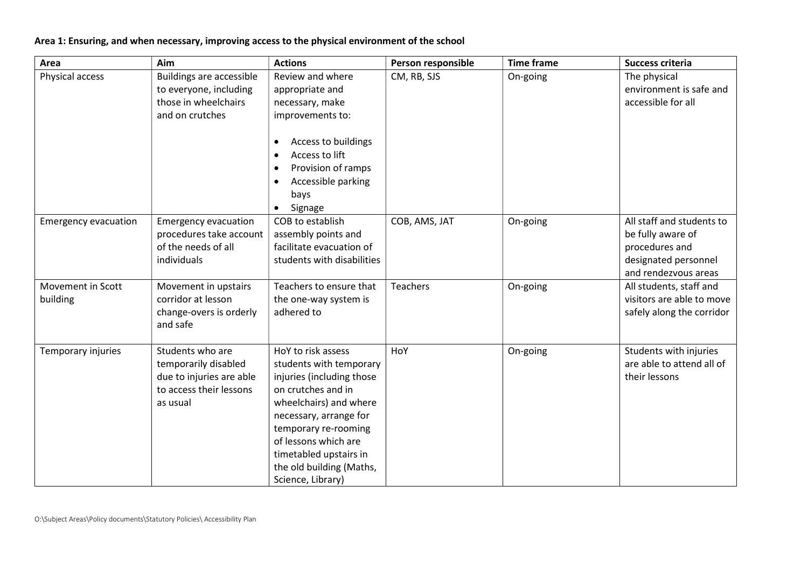## Area 1: Ensuring, and when necessary, improving access to the physical environment of the school

| Area                          | Aim                                                                                                         | <b>Actions</b>                                                                                                                                                                                                                                                                  | Person responsible | <b>Time frame</b> | Success criteria                                                                                                 |
|-------------------------------|-------------------------------------------------------------------------------------------------------------|---------------------------------------------------------------------------------------------------------------------------------------------------------------------------------------------------------------------------------------------------------------------------------|--------------------|-------------------|------------------------------------------------------------------------------------------------------------------|
| Physical access               | <b>Buildings are accessible</b><br>to everyone, including<br>those in wheelchairs<br>and on crutches        | Review and where<br>appropriate and<br>necessary, make<br>improvements to:<br>Access to buildings<br>$\bullet$<br>Access to lift<br>$\bullet$<br>Provision of ramps<br>Accessible parking<br>$\bullet$<br>bays<br>Signage<br>$\bullet$                                          | CM, RB, SJS        | On-going          | The physical<br>environment is safe and<br>accessible for all                                                    |
| <b>Emergency evacuation</b>   | <b>Emergency evacuation</b><br>procedures take account<br>of the needs of all<br>individuals                | COB to establish<br>assembly points and<br>facilitate evacuation of<br>students with disabilities                                                                                                                                                                               | COB, AMS, JAT      | On-going          | All staff and students to<br>be fully aware of<br>procedures and<br>designated personnel<br>and rendezvous areas |
| Movement in Scott<br>building | Movement in upstairs<br>corridor at lesson<br>change-overs is orderly<br>and safe                           | Teachers to ensure that<br>the one-way system is<br>adhered to                                                                                                                                                                                                                  | Teachers           | On-going          | All students, staff and<br>visitors are able to move<br>safely along the corridor                                |
| Temporary injuries            | Students who are<br>temporarily disabled<br>due to injuries are able<br>to access their lessons<br>as usual | HoY to risk assess<br>students with temporary<br>injuries (including those<br>on crutches and in<br>wheelchairs) and where<br>necessary, arrange for<br>temporary re-rooming<br>of lessons which are<br>timetabled upstairs in<br>the old building (Maths,<br>Science, Library) | HoY                | On-going          | Students with injuries<br>are able to attend all of<br>their lessons                                             |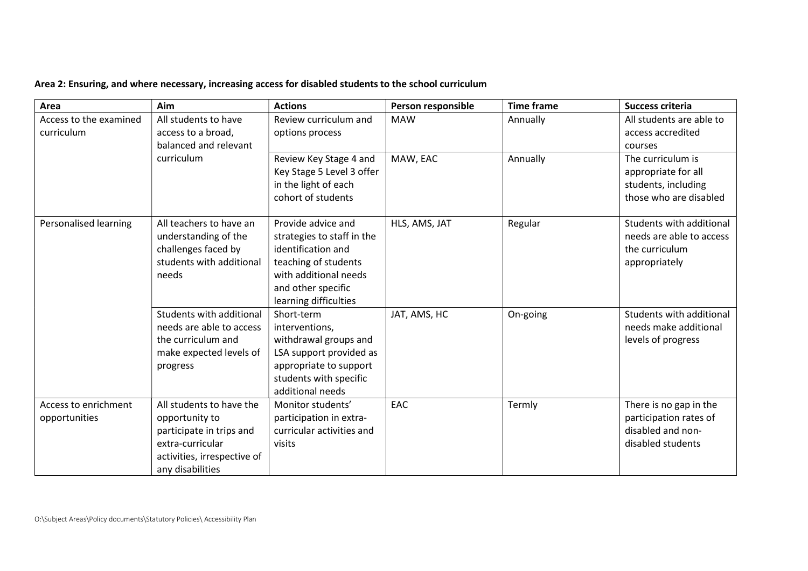|  | Area 2: Ensuring, and where necessary, increasing access for disabled students to the school curriculum |
|--|---------------------------------------------------------------------------------------------------------|
|--|---------------------------------------------------------------------------------------------------------|

| Area                   | Aim                         | <b>Actions</b>                              | Person responsible | <b>Time frame</b> | Success criteria         |
|------------------------|-----------------------------|---------------------------------------------|--------------------|-------------------|--------------------------|
| Access to the examined | All students to have        | Review curriculum and                       | <b>MAW</b>         | Annually          | All students are able to |
| curriculum             | access to a broad,          | options process                             |                    |                   | access accredited        |
|                        | balanced and relevant       |                                             |                    |                   | courses                  |
|                        | curriculum                  | Review Key Stage 4 and                      | MAW, EAC           | Annually          | The curriculum is        |
|                        |                             | Key Stage 5 Level 3 offer                   |                    |                   | appropriate for all      |
|                        |                             | in the light of each                        |                    |                   | students, including      |
|                        |                             | cohort of students                          |                    |                   | those who are disabled   |
|                        |                             |                                             |                    |                   |                          |
| Personalised learning  | All teachers to have an     | Provide advice and                          | HLS, AMS, JAT      | Regular           | Students with additional |
|                        | understanding of the        | strategies to staff in the                  |                    |                   | needs are able to access |
|                        | challenges faced by         | identification and                          |                    |                   | the curriculum           |
|                        | students with additional    | teaching of students                        |                    |                   | appropriately            |
|                        | needs                       | with additional needs                       |                    |                   |                          |
|                        |                             | and other specific<br>learning difficulties |                    |                   |                          |
|                        | Students with additional    | Short-term                                  | JAT, AMS, HC       |                   | Students with additional |
|                        | needs are able to access    | interventions,                              |                    | On-going          | needs make additional    |
|                        | the curriculum and          | withdrawal groups and                       |                    |                   |                          |
|                        | make expected levels of     | LSA support provided as                     |                    |                   | levels of progress       |
|                        |                             | appropriate to support                      |                    |                   |                          |
|                        | progress                    | students with specific                      |                    |                   |                          |
|                        |                             | additional needs                            |                    |                   |                          |
| Access to enrichment   | All students to have the    | Monitor students'                           | EAC                | Termly            | There is no gap in the   |
| opportunities          | opportunity to              | participation in extra-                     |                    |                   | participation rates of   |
|                        | participate in trips and    | curricular activities and                   |                    |                   | disabled and non-        |
|                        | extra-curricular            | visits                                      |                    |                   | disabled students        |
|                        | activities, irrespective of |                                             |                    |                   |                          |
|                        | any disabilities            |                                             |                    |                   |                          |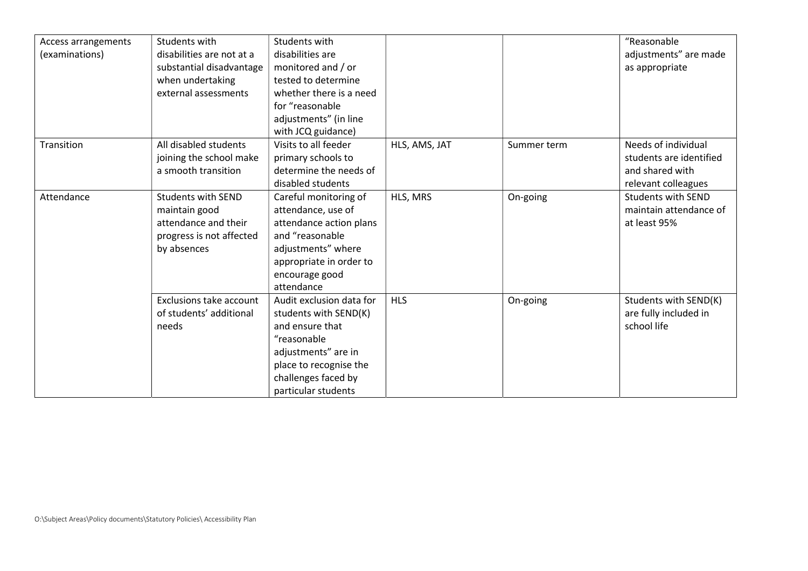| Access arrangements<br>(examinations) | Students with<br>disabilities are not at a<br>substantial disadvantage<br>when undertaking<br>external assessments | Students with<br>disabilities are<br>monitored and / or<br>tested to determine<br>whether there is a need<br>for "reasonable<br>adjustments" (in line<br>with JCQ guidance)        |               |             | "Reasonable<br>adjustments" are made<br>as appropriate                                   |
|---------------------------------------|--------------------------------------------------------------------------------------------------------------------|------------------------------------------------------------------------------------------------------------------------------------------------------------------------------------|---------------|-------------|------------------------------------------------------------------------------------------|
| Transition                            | All disabled students<br>joining the school make<br>a smooth transition                                            | Visits to all feeder<br>primary schools to<br>determine the needs of<br>disabled students                                                                                          | HLS, AMS, JAT | Summer term | Needs of individual<br>students are identified<br>and shared with<br>relevant colleagues |
| Attendance                            | <b>Students with SEND</b><br>maintain good<br>attendance and their<br>progress is not affected<br>by absences      | Careful monitoring of<br>attendance, use of<br>attendance action plans<br>and "reasonable<br>adjustments" where<br>appropriate in order to<br>encourage good<br>attendance         | HLS, MRS      | On-going    | <b>Students with SEND</b><br>maintain attendance of<br>at least 95%                      |
|                                       | <b>Exclusions take account</b><br>of students' additional<br>needs                                                 | Audit exclusion data for<br>students with SEND(K)<br>and ensure that<br>"reasonable<br>adjustments" are in<br>place to recognise the<br>challenges faced by<br>particular students | <b>HLS</b>    | On-going    | Students with SEND(K)<br>are fully included in<br>school life                            |